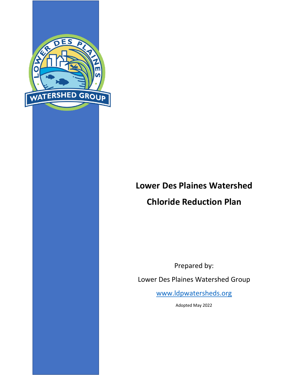

# **Lower Des Plaines Watershed Chloride Reduction Plan**

Prepared by:

Lower Des Plaines Watershed Group

[www.ldpwatersheds.org](http://www.ldpwatersheds.org/)

Adopted May 2022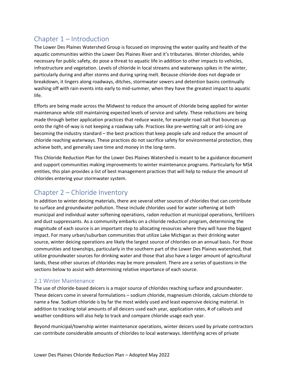# Chapter 1 – Introduction

The Lower Des Plaines Watershed Group is focused on improving the water quality and health of the aquatic communities within the Lower Des Plaines River and it's tributaries. Winter chlorides, while necessary for public safety, do pose a threat to aquatic life in addition to other impacts to vehicles, infrastructure and vegetation. Levels of chloride in local streams and waterways spikes in the winter, particularly during and after storms and during spring melt. Because chloride does not degrade or breakdown, it lingers along roadways, ditches, stormwater sewers and detention basins continually washing off with rain events into early to mid-summer, when they have the greatest impact to aquatic life.

Efforts are being made across the Midwest to reduce the amount of chloride being applied for winter maintenance while still maintaining expected levels of service and safety. These reductions are being made through better application practices that reduce waste, for example road salt that bounces up onto the right-of-way is not keeping a roadway safe. Practices like pre-wetting salt or anti-icing are becoming the industry standard – the best practices that keep people safe and reduce the amount of chloride reaching waterways. These practices do not sacrifice safety for environmental protection, they achieve both, and generally save time and money in the long-term.

This Chloride Reduction Plan for the Lower Des Plaines Watershed is meant to be a guidance document and support communities making improvements to winter maintenance programs. Particularly for MS4 entities, this plan provides a list of best management practices that will help to reduce the amount of chlorides entering your stormwater system.

# Chapter 2 – Chloride Inventory

In addition to winter deicing materials, there are several other sources of chlorides that can contribute to surface and groundwater pollution. These include chlorides used for water softening at both municipal and individual water softening operations, radon reduction at municipal operations, fertilizers and dust suppressants. As a community embarks on a chloride reduction program, determining the magnitude of each source is an important step to allocating resources where they will have the biggest impact. For many urban/suburban communities that utilize Lake Michigan as their drinking water source, winter deicing operations are likely the largest source of chlorides on an annual basis. For those communities and townships, particularly in the southern part of the Lower Des Plaines watershed, that utilize groundwater sources for drinking water and those that also have a larger amount of agricultural lands, these other sources of chlorides may be more prevalent. There are a series of questions in the sections below to assist with determining relative importance of each source.

### 2.1 Winter Maintenance

The use of chloride-based deicers is a major source of chlorides reaching surface and groundwater. These deicers come in several formulations – sodium chloride, magnesium chloride, calcium chloride to name a few. Sodium chloride is by far the most widely used and least expensive deicing material. In addition to tracking total amounts of all deicers used each year, application rates, # of callouts and weather conditions will also help to track and compare chloride usage each year.

Beyond municipal/township winter maintenance operations, winter deicers used by private contractors can contribute considerable amounts of chlorides to local waterways. Identifying acres of private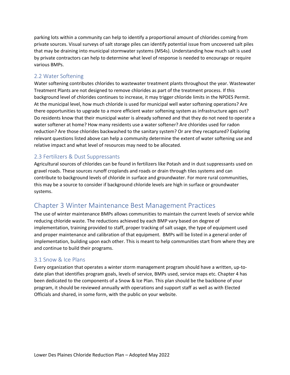parking lots within a community can help to identify a proportional amount of chlorides coming from private sources. Visual surveys of salt storage piles can identify potential issue from uncovered salt piles that may be draining into municipal stormwater systems (MS4s). Understanding how much salt is used by private contractors can help to determine what level of response is needed to encourage or require various BMPs.

#### 2.2 Water Softening

Water softening contributes chlorides to wastewater treatment plants throughout the year. Wastewater Treatment Plants are not designed to remove chlorides as part of the treatment process. If this background level of chlorides continues to increase, it may trigger chloride limits in the NPDES Permit. At the municipal level, how much chloride is used for municipal well water softening operations? Are there opportunities to upgrade to a more efficient water softening system as infrastructure ages out? Do residents know that their municipal water is already softened and that they do not need to operate a water softener at home? How many residents use a water softener? Are chlorides used for radon reduction? Are those chlorides backwashed to the sanitary system? Or are they recaptured? Exploring relevant questions listed above can help a community determine the extent of water softening use and relative impact and what level of resources may need to be allocated.

### 2.3 Fertilizers & Dust Suppressants

Agricultural sources of chlorides can be found in fertilizers like Potash and in dust suppressants used on gravel roads. These sources runoff croplands and roads or drain through tiles systems and can contribute to background levels of chloride in surface and groundwater. For more rural communities, this may be a source to consider if background chloride levels are high in surface or groundwater systems.

# Chapter 3 Winter Maintenance Best Management Practices

The use of winter maintenance BMPs allows communities to maintain the current levels of service while reducing chloride waste. The reductions achieved by each BMP vary based on degree of implementation, training provided to staff, proper tracking of salt usage, the type of equipment used and proper maintenance and calibration of that equipment. BMPs will be listed in a general order of implementation, building upon each other. This is meant to help communities start from where they are and continue to build their programs.

### 3.1 Snow & Ice Plans

Every organization that operates a winter storm management program should have a written, up-todate plan that identifies program goals, levels of service, BMPs used, service maps etc. Chapter 4 has been dedicated to the components of a Snow & Ice Plan. This plan should be the backbone of your program, it should be reviewed annually with operations and support staff as well as with Elected Officials and shared, in some form, with the public on your website.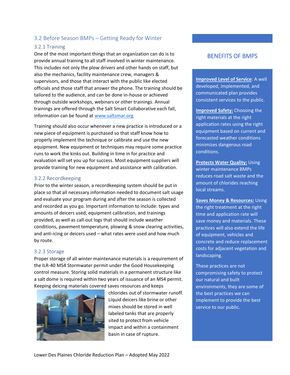## 3.2 Before Season BMPs – Getting Ready for Winter

#### 3.2.1 Training

One of the most important things that an organization can do is to provide annual training to all staff involved in winter maintenance. This includes not only the plow drivers and other hands on staff, but also the mechanics, facility maintenance crew, managers & supervisors, and those that interact with the public like elected officials and those staff that answer the phone. The training should be tailored to the audience, and can be done in-house or achieved through outside workshops, webinars or other trainings. Annual trainings are offered through the Salt Smart Collaborative each fall, information can be found at [www.saltsmar.org](http://www.saltsmar.org/)

Training should also occur whenever a new practice is introduced or a new piece of equipment is purchased so that staff know how to properly implement the technique or calibrate and use the new equipment. New equipment or techniques may require some practice runs to work the kinks out. Building in time in for practice and evaluation will set you up for success. Most equipment suppliers will provide training for new equipment and assistance with calibration.

#### 3.2.2 Recordkeeping

Prior to the winter season, a recordkeeping system should be put in place so that all necessary information needed to document salt usage and evaluate your program during and after the season is collected and recorded as you go. Important information to include: types and amounts of deicers used, equipment calibration, and trainings provided, as well as call-out logs that should include weather conditions, pavement temperature, plowing & snow clearing activities, and anti-icing or deicers used – what rates were used and how much by route.

#### 3.2.3 Storage

Proper storage of all winter maintenance materials is a requirement of the ILR-40 MS4 Stormwater permit under the Good Housekeeping control measure. Storing solid materials in a permanent structure like a salt dome is required within two years of issuance of an MS4 permit. Keeping deicing materials covered saves resources and keeps



chlorides out of stormwater runoff. Liquid deicers like brine or other mixes should be stored in well labeled tanks that are properly sited to protect from vehicle impact and within a containment basin in case of rupture.

## BENEFITS OF BMPS

**Improved Level of Service**: A well developed, implemented, and communicated plan provides consistent services to the public.

**Improved Safety:** Choosing the right materials at the right application rates using the right equipment based on current and forecasted weather conditions minimizes dangerous road conditions.

**Protects Water Quality:** Using winter maintenance BMPs reduces road salt waste and the amount of chlorides reaching local streams.

**Saves Money & Resources:** Using the right treatment at the right time and application rate will save money and materials. These practices will also extend the life of equipment, vehicles and concrete and reduce replacement costs for adjacent vegetation and landscaping.

These practices are not compromising safety to protect our natural and built environments, they are some of the best practices we can implement to provide the best service to our public.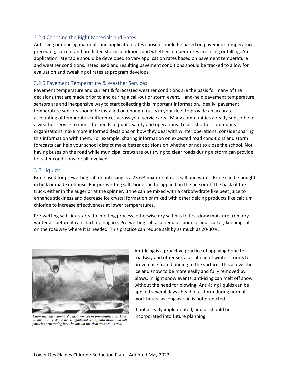#### 3.2.4 Choosing the Right Materials and Rates

Anti-icing or de-icing materials and application rates chosen should be based on pavement temperature, preceding, current and predicted storm conditions and whether temperatures are rising or falling. An application rate table should be developed to vary application rates based on pavement temperature and weather conditions. Rates used and resulting pavement conditions should be tracked to allow for evaluation and tweaking of rates as program develops.

#### 3.2.5 Pavement Temperature & Weather Services

Pavement temperature and current & forecasted weather conditions are the basis for many of the decisions that are made prior to and during a call-out or storm event. Hand-held pavement temperature sensors are and inexpensive way to start collecting this important information. Ideally, pavement temperature sensors should be installed on enough trucks in your fleet to provide an accurate accounting of temperature differences across your service area. Many communities already subscribe to a weather service to meet the needs of public safety and operations. To assist other community organizations make more informed decisions on how they deal with winter operations, consider sharing this information with them. For example, sharing information on expected road conditions and storm forecasts can help your school district make better decisions on whether or not to close the school. Not having buses on the road while municipal crews are out trying to clear roads during a storm can provide for safer conditions for all involved.

#### 3.3 Liquids

Brine used for prewetting salt or anti-icing is a 23.6% mixture of rock salt and water. Brine can be bought in bulk or made in-house. For pre-wetting salt, brine can be applied on the pile or off the back of the truck, either in the auger or at the spinner. Brine can be mixed with a carbohydrate like beet juice to enhance stickiness and decrease ice crystal formation or mixed with other deicing products like calcium chloride to increase effectiveness at lower temperatures.

Pre-wetting salt kick-starts the melting process, otherwise dry salt has to first draw moisture from dry winter air before it can start melting ice. Pre-wetting salt also reduces bounce and scatter, keeping salt on the roadway where it is needed. This practice can reduce salt by as much as 20-30%.



Faster melting action is the main benefit of pre-wetting salt. After 20 minutes the difference is significant. This photo shows two salt particles penetrating ice. The one on the right was pre-wetted.

Anti-Icing is a proactive practice of applying brine to roadway and other surfaces ahead of winter storms to prevent ice from bonding to the surface. This allows the ice and snow to be more easily and fully removed by plows. In light snow events, anti-icing can melt off snow without the need for plowing. Anti-icing liquids can be applied several days ahead of a storm during normal work hours, as long as rain is not predicted.

If not already implemented, liquids should be incorporated into future planning.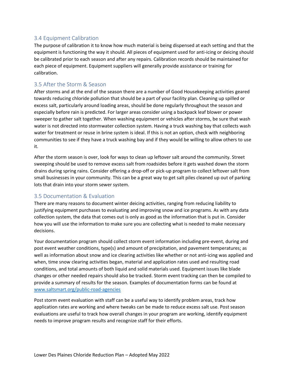## 3.4 Equipment Calibration

The purpose of calibration it to know how much material is being dispensed at each setting and that the equipment is functioning the way it should. All pieces of equipment used for anti-icing or deicing should be calibrated prior to each season and after any repairs. Calibration records should be maintained for each piece of equipment. Equipment suppliers will generally provide assistance or training for calibration.

## 3.5 After the Storm & Season

After storms and at the end of the season there are a number of Good Housekeeping activities geared towards reducing chloride pollution that should be a part of your facility plan. Cleaning up spilled or excess salt, particularly around loading areas, should be done regularly throughout the season and especially before rain is predicted. For larger areas consider using a backpack leaf blower or power sweeper to gather salt together. When washing equipment or vehicles after storms, be sure that wash water is not directed into stormwater collection system. Having a truck washing bay that collects wash water for treatment or reuse in brine system is ideal. If this is not an option, check with neighboring communities to see if they have a truck washing bay and if they would be willing to allow others to use it.

After the storm season is over, look for ways to clean up leftover salt around the community. Street sweeping should be used to remove excess salt from roadsides before it gets washed down the storm drains during spring rains. Consider offering a drop-off or pick-up program to collect leftover salt from small businesses in your community. This can be a great way to get salt piles cleaned up out of parking lots that drain into your storm sewer system.

### 3.5 Documentation & Evaluation

There are many reasons to document winter deicing activities, ranging from reducing liability to justifying equipment purchases to evaluating and improving snow and ice programs. As with any data collection system, the data that comes out is only as good as the information that is put in. Consider how you will use the information to make sure you are collecting what is needed to make necessary decisions.

Your documentation program should collect storm event information including pre-event, during and post event weather conditions, type(s) and amount of precipitation, and pavement temperatures; as well as information about snow and ice clearing activities like whether or not anti-icing was applied and when, time snow clearing activities began, material and application rates used and resulting road conditions, and total amounts of both liquid and solid materials used. Equipment issues like blade changes or other needed repairs should also be tracked. Storm event tracking can then be compiled to provide a summary of results for the season. Examples of documentation forms can be found at [www.saltsmart.org/public-road-agencies](http://www.saltsmart.org/public-road-agencies)

Post storm event evaluation with staff can be a useful way to identify problem areas, track how application rates are working and where tweaks can be made to reduce excess salt use. Post season evaluations are useful to track how overall changes in your program are working, identify equipment needs to improve program results and recognize staff for their efforts.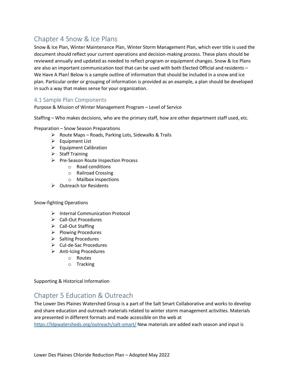# Chapter 4 Snow & Ice Plans

Snow & Ice Plan, Winter Maintenance Plan, Winter Storm Management Plan, which ever title is used the document should reflect your current operations and decision-making process. These plans should be reviewed annually and updated as needed to reflect program or equipment changes. Snow & Ice Plans are also an important communication tool that can be used with both Elected Official and residents – We Have A Plan! Below is a sample outline of information that should be included in a snow and ice plan. Particular order or grouping of information is provided as an example, a plan should be developed in such a way that makes sense for your organization.

## 4.1 Sample Plan Components

Purpose & Mission of Winter Management Program – Level of Service

Staffing – Who makes decisions, who are the primary staff, how are other department staff used, etc.

Preparation – Snow Season Preparations

- $\triangleright$  Route Maps Roads, Parking Lots, Sidewalks & Trails
- $\triangleright$  Equipment List
- $\triangleright$  Equipment Calibration
- $\triangleright$  Staff Training
- $\triangleright$  Pre-Season Route Inspection Process
	- o Road conditions
	- o Railroad Crossing
	- o Mailbox inspections
- $\triangleright$  Outreach tor Residents

#### Snow-fighting Operations

- $\triangleright$  Internal Communication Protocol
- Call-Out Procedures
- $\triangleright$  Call-Out Staffing
- $\triangleright$  Plowing Procedures
- $\triangleright$  Salting Procedures
- $\triangleright$  Cul-de-Sac Procedures
- $\triangleright$  Anti-Icing Procedures
	- o Routes
	- o Tracking

Supporting & Historical Information

# Chapter 5 Education & Outreach

The Lower Des Plaines Watershed Group is a part of the Salt Smart Collaborative and works to develop and share education and outreach materials related to winter storm management activities. Materials are presented in different formats and made accessible on the web at

<https://ldpwatersheds.org/outreach/salt-smart/> New materials are added each season and input is